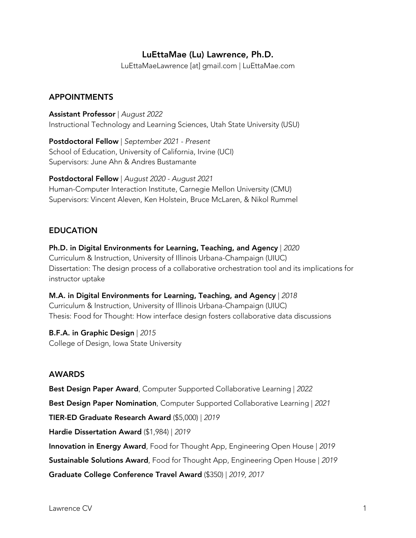# LuEttaMae (Lu) Lawrence, Ph.D.

LuEttaMaeLawrence [at] gmail.com | LuEttaMae.com

## APPOINTMENTS

Assistant Professor | *August 2022* Instructional Technology and Learning Sciences, Utah State University (USU)

Postdoctoral Fellow | *September 2021 - Present*  School of Education, University of California, Irvine (UCI) Supervisors: June Ahn & Andres Bustamante

Postdoctoral Fellow | *August 2020 - August 2021*  Human-Computer Interaction Institute, Carnegie Mellon University (CMU) Supervisors: Vincent Aleven, Ken Holstein, Bruce McLaren, & Nikol Rummel

## EDUCATION

Ph.D. in Digital Environments for Learning, Teaching, and Agency | *2020* Curriculum & Instruction, University of Illinois Urbana-Champaign (UIUC) Dissertation: The design process of a collaborative orchestration tool and its implications for instructor uptake

M.A. in Digital Environments for Learning, Teaching, and Agency | *2018* Curriculum & Instruction, University of Illinois Urbana-Champaign (UIUC) Thesis: Food for Thought: How interface design fosters collaborative data discussions

## B.F.A. in Graphic Design | *2015*

College of Design, Iowa State University

## AWARDS

Best Design Paper Award, Computer Supported Collaborative Learning | *2022*

Best Design Paper Nomination, Computer Supported Collaborative Learning | *2021*

TIER-ED Graduate Research Award (\$5,000) | *2019*

Hardie Dissertation Award (\$1,984) | *2019*

Innovation in Energy Award, Food for Thought App, Engineering Open House | *2019*

Sustainable Solutions Award, Food for Thought App, Engineering Open House | *2019*

Graduate College Conference Travel Award (\$350) | *2019, 2017*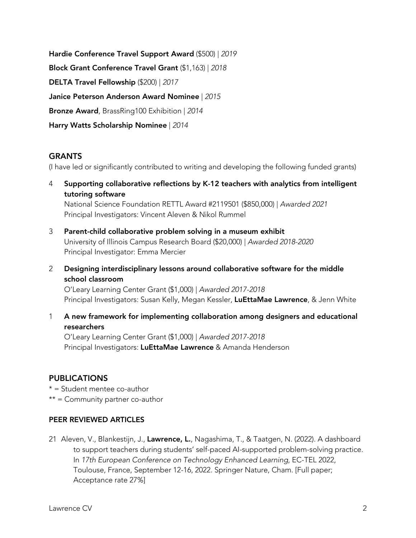Hardie Conference Travel Support Award (\$500) | *2019* Block Grant Conference Travel Grant (\$1,163) | *2018* DELTA Travel Fellowship (\$200) | *2017* Janice Peterson Anderson Award Nominee | *2015* Bronze Award, BrassRing100 Exhibition | *2014* Harry Watts Scholarship Nominee | *2014*

## **GRANTS**

(I have led or significantly contributed to writing and developing the following funded grants)

4 Supporting collaborative reflections by K-12 teachers with analytics from intelligent tutoring software

National Science Foundation RETTL Award #2119501 (\$850,000) | *Awarded 2021*  Principal Investigators: Vincent Aleven & Nikol Rummel

- 3 Parent-child collaborative problem solving in a museum exhibit University of Illinois Campus Research Board (\$20,000) | *Awarded 2018-2020*  Principal Investigator: Emma Mercier
- 2 Designing interdisciplinary lessons around collaborative software for the middle school classroom

O'Leary Learning Center Grant (\$1,000) | *Awarded 2017-2018* Principal Investigators: Susan Kelly, Megan Kessler, LuEttaMae Lawrence, & Jenn White

1 A new framework for implementing collaboration among designers and educational researchers

O'Leary Learning Center Grant (\$1,000) | *Awarded 2017-2018*  Principal Investigators: LuEttaMae Lawrence & Amanda Henderson

### PUBLICATIONS

- $* =$  Student mentee co-author
- $**$  = Community partner co-author

### PEER REVIEWED ARTICLES

21 Aleven, V., Blankestijn, J., Lawrence, L., Nagashima, T., & Taatgen, N. (2022). A dashboard to support teachers during students' self-paced AI-supported problem-solving practice. In *17th European Conference on Technology Enhanced Learning*, EC-TEL 2022, Toulouse, France, September 12-16, 2022. Springer Nature, Cham. [Full paper; Acceptance rate 27%]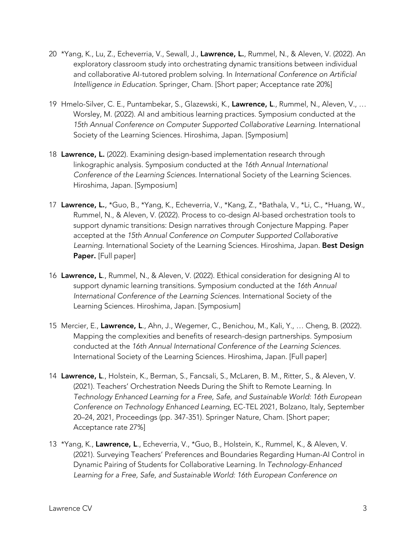- 20 \*Yang, K., Lu, Z., Echeverria, V., Sewall, J., Lawrence, L., Rummel, N., & Aleven, V. (2022). An exploratory classroom study into orchestrating dynamic transitions between individual and collaborative AI-tutored problem solving. In *International Conference on Artificial Intelligence in Education*. Springer, Cham. [Short paper; Acceptance rate 20%]
- 19 Hmelo-Silver, C. E., Puntambekar, S., Glazewski, K., Lawrence, L., Rummel, N., Aleven, V., ... Worsley, M. (2022). AI and ambitious learning practices. Symposium conducted at the *15th Annual Conference on Computer Supported Collaborative Learning*. International Society of the Learning Sciences. Hiroshima, Japan. [Symposium]
- 18 Lawrence, L. (2022). Examining design-based implementation research through linkographic analysis. Symposium conducted at the *16th Annual International Conference of the Learning Sciences*. International Society of the Learning Sciences. Hiroshima, Japan. [Symposium]
- 17 Lawrence, L., \*Guo, B., \*Yang, K., Echeverria, V., \*Kang, Z., \*Bathala, V., \*Li, C., \*Huang, W., Rummel, N., & Aleven, V. (2022). Process to co-design AI-based orchestration tools to support dynamic transitions: Design narratives through Conjecture Mapping. Paper accepted at the *15th Annual Conference on Computer Supported Collaborative Learning*. International Society of the Learning Sciences. Hiroshima, Japan. Best Design Paper. [Full paper]
- 16 Lawrence, L., Rummel, N., & Aleven, V. (2022). Ethical consideration for designing AI to support dynamic learning transitions. Symposium conducted at the *16th Annual International Conference of the Learning Sciences*. International Society of the Learning Sciences. Hiroshima, Japan. [Symposium]
- 15 Mercier, E., Lawrence, L., Ahn, J., Wegemer, C., Benichou, M., Kali, Y., ... Cheng, B. (2022). Mapping the complexities and benefits of research-design partnerships. Symposium conducted at the *16th Annual International Conference of the Learning Sciences*. International Society of the Learning Sciences. Hiroshima, Japan. [Full paper]
- 14 Lawrence, L., Holstein, K., Berman, S., Fancsali, S., McLaren, B. M., Ritter, S., & Aleven, V. (2021). Teachers' Orchestration Needs During the Shift to Remote Learning. In *Technology Enhanced Learning for a Free, Safe, and Sustainable World: 16th European Conference on Technology Enhanced Learning*, EC-TEL 2021, Bolzano, Italy, September 20–24, 2021, Proceedings (pp. 347-351). Springer Nature, Cham. [Short paper; Acceptance rate 27%]
- 13 \*Yang, K., Lawrence, L., Echeverria, V., \*Guo, B., Holstein, K., Rummel, K., & Aleven, V. (2021). Surveying Teachers' Preferences and Boundaries Regarding Human-AI Control in Dynamic Pairing of Students for Collaborative Learning. In *Technology-Enhanced Learning for a Free, Safe, and Sustainable World: 16th European Conference on*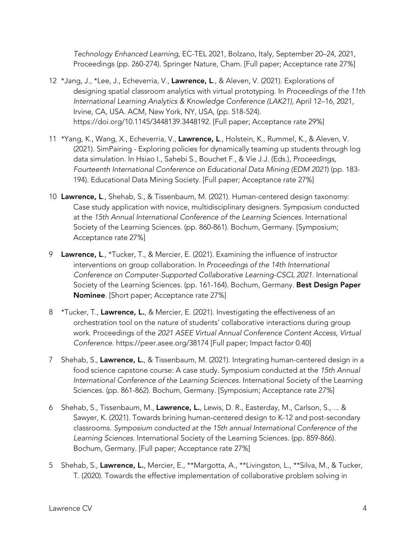*Technology Enhanced Learning*, EC-TEL 2021, Bolzano, Italy, September 20–24, 2021, Proceedings (pp. 260-274). Springer Nature, Cham. [Full paper; Acceptance rate 27%]

- 12 \*Jang, J., \*Lee, J., Echeverria, V., Lawrence, L., & Aleven, V. (2021). Explorations of designing spatial classroom analytics with virtual prototyping. In *Proceedings of the 11th International Learning Analytics & Knowledge Conference (LAK21)*, April 12–16, 2021, Irvine, CA, USA. ACM, New York, NY, USA, (pp. 518-524). https://doi.org/10.1145/3448139.3448192. [Full paper; Acceptance rate 29%]
- 11 \*Yang, K., Wang, X., Echeverria, V., Lawrence, L., Holstein, K., Rummel, K., & Aleven, V. (2021). SimPairing - Exploring policies for dynamically teaming up students through log data simulation. In Hsiao I., Sahebi S., Bouchet F., & Vie J.J. (Eds.), *Proceedings, Fourteenth International Conference on Educational Data Mining (EDM 2021*) (pp. 183- 194). Educational Data Mining Society. [Full paper; Acceptance rate 27%]
- 10 Lawrence, L., Shehab, S., & Tissenbaum, M. (2021). Human-centered design taxonomy: Case study application with novice, multidisciplinary designers. Symposium conducted at the *15th Annual International Conference of the Learning Sciences*. International Society of the Learning Sciences. (pp. 860-861). Bochum, Germany. [Symposium; Acceptance rate 27%]
- 9 Lawrence, L., \*Tucker, T., & Mercier, E. (2021). Examining the influence of instructor interventions on group collaboration. In *Proceedings of the 14th International Conference on Computer-Supported Collaborative Learning-CSCL 2021.* International Society of the Learning Sciences. (pp. 161-164). Bochum, Germany. Best Design Paper Nominee. [Short paper; Acceptance rate 27%]
- 8 \*Tucker, T., Lawrence, L., & Mercier, E. (2021). Investigating the effectiveness of an orchestration tool on the nature of students' collaborative interactions during group work. Proceedings of the *2021 ASEE Virtual Annual Conference Content Access, Virtual Conference*. https://peer.asee.org/38174 [Full paper; Impact factor 0.40]
- 7 Shehab, S., Lawrence, L., & Tissenbaum, M. (2021). Integrating human-centered design in a food science capstone course: A case study. Symposium conducted at the *15th Annual International Conference of the Learning Sciences.* International Society of the Learning Sciences. (pp. 861-862). Bochum, Germany. [Symposium; Acceptance rate 27%]
- 6 Shehab, S., Tissenbaum, M., Lawrence, L., Lewis, D. R., Easterday, M., Carlson, S., ... & Sawyer, K. (2021). Towards brining human-centered design to K-12 and post-secondary classrooms. *Symposium conducted at the 15th annual International Conference of the Learning Sciences*. International Society of the Learning Sciences. (pp. 859-866). Bochum, Germany. [Full paper; Acceptance rate 27%]
- 5 Shehab, S., Lawrence, L., Mercier, E., \*\*Margotta, A., \*\*Livingston, L., \*\*Silva, M., & Tucker, T. (2020). Towards the effective implementation of collaborative problem solving in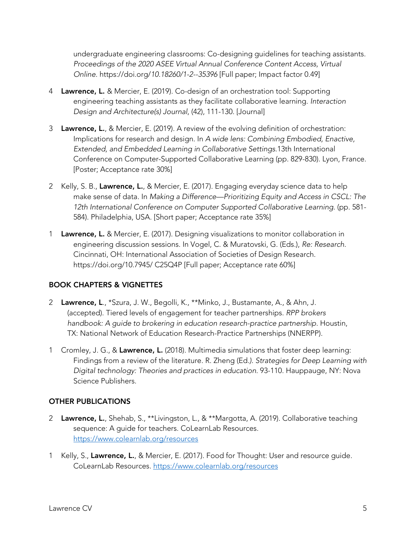undergraduate engineering classrooms: Co-designing guidelines for teaching assistants. *Proceedings of the 2020 ASEE Virtual Annual Conference Content Access, Virtual Online.* https://doi.org/*10.18260/1-2--35396* [Full paper; Impact factor 0.49]

- 4 Lawrence, L. & Mercier, E. (2019). Co-design of an orchestration tool: Supporting engineering teaching assistants as they facilitate collaborative learning. *Interaction Design and Architecture(s) Journal*, (42), 111-130. [Journal]
- 3 Lawrence, L., & Mercier, E. (2019). A review of the evolving definition of orchestration: Implications for research and design. In *A wide lens: Combining Embodied, Enactive, Extended, and Embedded Learning in Collaborative Settings.*13th International Conference on Computer-Supported Collaborative Learning (pp. 829-830). Lyon, France. [Poster; Acceptance rate 30%]
- 2 Kelly, S. B., Lawrence, L., & Mercier, E. (2017). Engaging everyday science data to help make sense of data. In *Making a Difference—Prioritizing Equity and Access in CSCL: The 12th International Conference on Computer Supported Collaborative Learning.* (pp. 581- 584). Philadelphia, USA. [Short paper; Acceptance rate 35%]
- 1 Lawrence, L. & Mercier, E. (2017). Designing visualizations to monitor collaboration in engineering discussion sessions. In Vogel, C. & Muratovski, G. (Eds.), *Re: Research*. Cincinnati, OH: International Association of Societies of Design Research. https://doi.org/10.7945/ C25Q4P [Full paper; Acceptance rate 60%]

## BOOK CHAPTERS & VIGNETTES

- 2 Lawrence, L., \*Szura, J. W., Begolli, K., \*\*Minko, J., Bustamante, A., & Ahn, J. (accepted). Tiered levels of engagement for teacher partnerships. *RPP brokers handbook: A guide to brokering in education research-practice partnership*. Houstin, TX: National Network of Education Research-Practice Partnerships (NNERPP).
- 1 Cromley, J. G., & Lawrence, L. (2018). Multimedia simulations that foster deep learning: Findings from a review of the literature. R. Zheng (Ed*.). Strategies for Deep Learning with Digital technology: Theories and practices in education*. 93-110. Hauppauge, NY: Nova Science Publishers.

## OTHER PUBLICATIONS

- 2 Lawrence, L., Shehab, S., \*\*Livingston, L., & \*\*Margotta, A. (2019). Collaborative teaching sequence: A guide for teachers. CoLearnLab Resources. https://www.colearnlab.org/resources
- 1 Kelly, S., Lawrence, L., & Mercier, E. (2017). Food for Thought: User and resource guide. CoLearnLab Resources. https://www.colearnlab.org/resources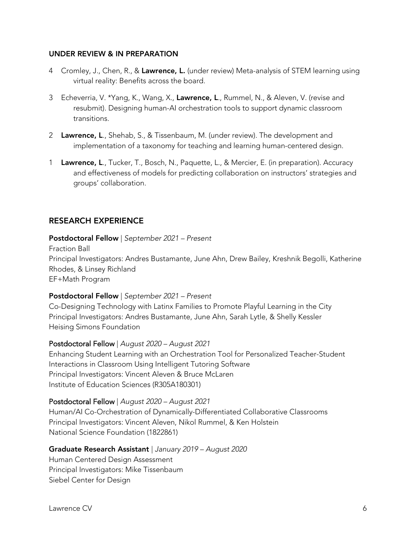### UNDER REVIEW & IN PREPARATION

- 4 Cromley, J., Chen, R., & Lawrence, L. (under review) Meta-analysis of STEM learning using virtual reality: Benefits across the board.
- 3 Echeverria, V. \*Yang, K., Wang, X., Lawrence, L., Rummel, N., & Aleven, V. (revise and resubmit). Designing human-AI orchestration tools to support dynamic classroom transitions.
- 2 Lawrence, L., Shehab, S., & Tissenbaum, M. (under review). The development and implementation of a taxonomy for teaching and learning human-centered design.
- 1 Lawrence, L., Tucker, T., Bosch, N., Paquette, L., & Mercier, E. (in preparation). Accuracy and effectiveness of models for predicting collaboration on instructors' strategies and groups' collaboration.

## RESEARCH EXPERIENCE

### Postdoctoral Fellow | *September 2021 – Present*

Fraction Ball Principal Investigators: Andres Bustamante, June Ahn, Drew Bailey, Kreshnik Begolli, Katherine Rhodes, & Linsey Richland EF+Math Program

### Postdoctoral Fellow | *September 2021 – Present*

Co-Designing Technology with Latinx Families to Promote Playful Learning in the City Principal Investigators: Andres Bustamante, June Ahn, Sarah Lytle, & Shelly Kessler Heising Simons Foundation

### Postdoctoral Fellow | *August 2020 – August 2021*

Enhancing Student Learning with an Orchestration Tool for Personalized Teacher-Student Interactions in Classroom Using Intelligent Tutoring Software Principal Investigators: Vincent Aleven & Bruce McLaren Institute of Education Sciences (R305A180301)

### Postdoctoral Fellow | *August 2020 – August 2021*

Human/AI Co-Orchestration of Dynamically-Differentiated Collaborative Classrooms Principal Investigators: Vincent Aleven, Nikol Rummel, & Ken Holstein National Science Foundation (1822861)

## Graduate Research Assistant | *January 2019 – August 2020*

Human Centered Design Assessment Principal Investigators: Mike Tissenbaum Siebel Center for Design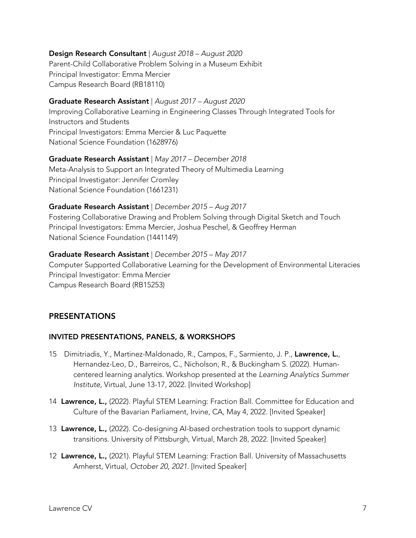### Design Research Consultant | *August 2018 – August 2020*

Parent-Child Collaborative Problem Solving in a Museum Exhibit Principal Investigator: Emma Mercier Campus Research Board (RB18110)

### Graduate Research Assistant | *August 2017 – August 2020*

Improving Collaborative Learning in Engineering Classes Through Integrated Tools for Instructors and Students Principal Investigators: Emma Mercier & Luc Paquette National Science Foundation (1628976)

### Graduate Research Assistant | *May 2017 – December 2018*

Meta-Analysis to Support an Integrated Theory of Multimedia Learning Principal Investigator: Jennifer Cromley National Science Foundation (1661231)

### Graduate Research Assistant | *December 2015 – Aug 2017*

Fostering Collaborative Drawing and Problem Solving through Digital Sketch and Touch Principal Investigators: Emma Mercier, Joshua Peschel, & Geoffrey Herman National Science Foundation (1441149)

### Graduate Research Assistant | *December 2015 – May 2017*

Computer Supported Collaborative Learning for the Development of Environmental Literacies Principal Investigator: Emma Mercier Campus Research Board (RB15253)

## PRESENTATIONS

## INVITED PRESENTATIONS, PANELS, & WORKSHOPS

- 15 Dimitriadis, Y., Martinez-Maldonado, R., Campos, F., Sarmiento, J. P., Lawrence, L., Hernandez-Leo, D., Barreiros, C., Nicholson, R., & Buckingham S. (2022). Humancentered learning analytics*.* Workshop presented at the *Learning Analytics Summer Institute*, Virtual, June 13-17, 2022. [Invited Workshop]
- 14 Lawrence, L., (2022). Playful STEM Learning: Fraction Ball. Committee for Education and Culture of the Bavarian Parliament, Irvine, CA, May 4, 2022*.* [Invited Speaker]
- 13 Lawrence, L., (2022). Co-designing AI-based orchestration tools to support dynamic transitions. University of Pittsburgh, Virtual, March 28, 2022. [Invited Speaker]
- 12 Lawrence, L., (2021). Playful STEM Learning: Fraction Ball. University of Massachusetts Amherst, Virtual, *October 20, 2021*. [Invited Speaker]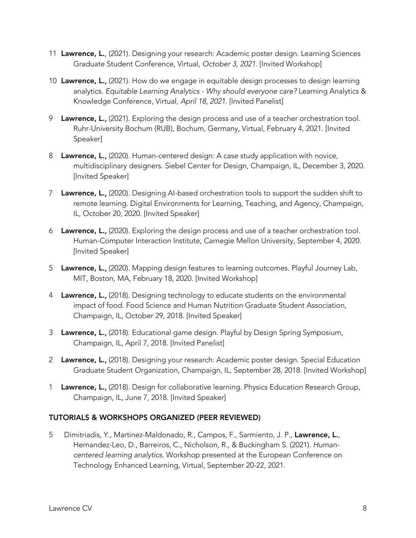- 11 Lawrence, L., (2021). Designing your research: Academic poster design. Learning Sciences Graduate Student Conference, Virtual, *October 3, 2021*. [Invited Workshop]
- 10 Lawrence, L., (2021). How do we engage in equitable design processes to design learning analytics. *Equitable Learning Analytics - Why should everyone care?* Learning Analytics & Knowledge Conference, Virtual, *April 18, 2021*. [Invited Panelist]
- 9 Lawrence, L., (2021). Exploring the design process and use of a teacher orchestration tool. Ruhr-University Bochum (RUB), Bochum, Germany, Virtual, February 4, 2021. [Invited Speaker]
- 8 Lawrence, L., (2020). Human-centered design: A case study application with novice, multidisciplinary designers. Siebel Center for Design, Champaign, IL, December 3, 2020. [Invited Speaker]
- 7 Lawrence, L., (2020). Designing AI-based orchestration tools to support the sudden shift to remote learning. Digital Environments for Learning, Teaching, and Agency, Champaign, IL, October 20, 2020. [Invited Speaker]
- 6 Lawrence, L., (2020). Exploring the design process and use of a teacher orchestration tool. Human-Computer Interaction Institute, Carnegie Mellon University, September 4, 2020. [Invited Speaker]
- 5 Lawrence, L., (2020). Mapping design features to learning outcomes. Playful Journey Lab, MIT, Boston, MA, February 18, 2020. [Invited Workshop]
- 4 Lawrence, L., (2018). Designing technology to educate students on the environmental impact of food. Food Science and Human Nutrition Graduate Student Association, Champaign, IL, October 29, 2018. [Invited Speaker]
- 3 Lawrence, L., (2018). Educational game design. Playful by Design Spring Symposium, Champaign, IL, April 7, 2018. [Invited Panelist]
- 2 Lawrence, L., (2018). Designing your research: Academic poster design. Special Education Graduate Student Organization, Champaign, IL, September 28, 2018*.* [Invited Workshop]
- 1 Lawrence, L., (2018). Design for collaborative learning. Physics Education Research Group, Champaign, IL, June 7, 2018. [Invited Speaker]

# TUTORIALS & WORKSHOPS ORGANIZED (PEER REVIEWED)

5 Dimitriadis, Y., Martinez-Maldonado, R., Campos, F., Sarmiento, J. P., Lawrence, L., Hernandez-Leo, D., Barreiros, C., Nicholson, R., & Buckingham S. (2021). *Humancentered learning analytics.* Workshop presented at the European Conference on Technology Enhanced Learning, Virtual, September 20-22, 2021.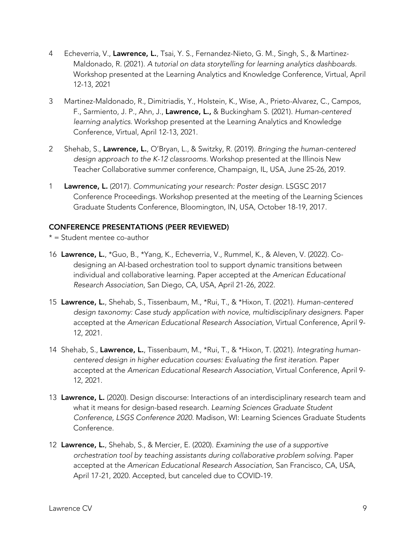- 4 Echeverria, V., Lawrence, L., Tsai, Y. S., Fernandez-Nieto, G. M., Singh, S., & Martinez-Maldonado, R. (2021). *A tutorial on data storytelling for learning analytics dashboards.* Workshop presented at the Learning Analytics and Knowledge Conference, Virtual, April 12-13, 2021
- 3 Martinez-Maldonado, R., Dimitriadis, Y., Holstein, K., Wise, A., Prieto-Alvarez, C., Campos, F., Sarmiento, J. P., Ahn, J., Lawrence, L., & Buckingham S. (2021). *Human-centered learning analytics.* Workshop presented at the Learning Analytics and Knowledge Conference, Virtual, April 12-13, 2021.
- 2 Shehab, S., Lawrence, L., O'Bryan, L., & Switzky, R. (2019). *Bringing the human-centered design approach to the K-12 classrooms.* Workshop presented at the Illinois New Teacher Collaborative summer conference, Champaign, IL, USA, June 25-26, 2019.
- 1 Lawrence, L. (2017). *Communicating your research: Poster design.* LSGSC 2017 Conference Proceedings. Workshop presented at the meeting of the Learning Sciences Graduate Students Conference, Bloomington, IN, USA, October 18-19, 2017.

### CONFERENCE PRESENTATIONS (PEER REVIEWED)

- $* =$  Student mentee co-author
- 16 Lawrence, L., \*Guo, B., \*Yang, K., Echeverria, V., Rummel, K., & Aleven, V. (2022). Codesigning an AI-based orchestration tool to support dynamic transitions between individual and collaborative learning. Paper accepted at the *American Educational Research Association*, San Diego, CA, USA, April 21-26, 2022.
- 15 Lawrence, L., Shehab, S., Tissenbaum, M., \*Rui, T., & \*Hixon, T. (2021). *Human-centered* design taxonomy: Case study application with novice, multidisciplinary designers. Paper accepted at the *American Educational Research Association*, Virtual Conference, April 9- 12, 2021.
- 14 Shehab, S., Lawrence, L., Tissenbaum, M., \*Rui, T., & \*Hixon, T. (2021). *Integrating humancentered design in higher education courses: Evaluating the first iteration.* Paper accepted at the *American Educational Research Association*, Virtual Conference, April 9- 12, 2021.
- 13 Lawrence, L. (2020). Design discourse: Interactions of an interdisciplinary research team and what it means for design-based research. *Learning Sciences Graduate Student Conference, LSGS Conference 2020.* Madison, WI: Learning Sciences Graduate Students Conference.
- 12 Lawrence, L., Shehab, S., & Mercier, E. (2020). *Examining the use of a supportive orchestration tool by teaching assistants during collaborative problem solving.* Paper accepted at the *American Educational Research Association*, San Francisco, CA, USA, April 17-21, 2020. Accepted, but canceled due to COVID-19.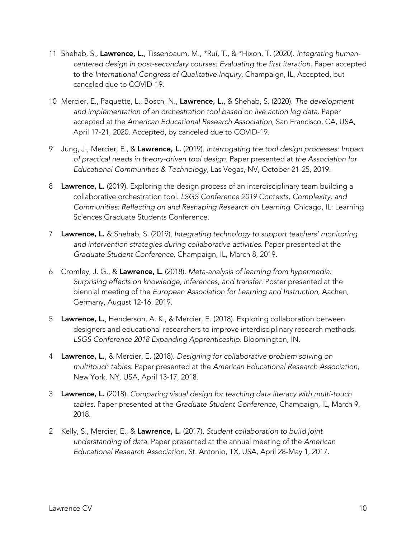- 11 Shehab, S., Lawrence, L., Tissenbaum, M., \*Rui, T., & \*Hixon, T. (2020). *Integrating humancentered design in post-secondary courses: Evaluating the first iteration.* Paper accepted to the *International Congress of Qualitative Inquiry*, Champaign, IL, Accepted, but canceled due to COVID-19.
- 10 Mercier, E., Paquette, L., Bosch, N., Lawrence, L., & Shehab, S. (2020). *The development and implementation of an orchestration tool based on live action log data.* Paper accepted at the *American Educational Research Association*, San Francisco, CA, USA, April 17-21, 2020. Accepted, by canceled due to COVID-19.
- 9 Jung, J., Mercier, E., & Lawrence, L. (2019). *Interrogating the tool design processes: Impact of practical needs in theory-driven tool design.* Paper presented at *the Association for Educational Communities & Technology,* Las Vegas, NV, October 21-25, 2019.
- 8 Lawrence, L. (2019). Exploring the design process of an interdisciplinary team building a collaborative orchestration tool. *LSGS Conference 2019 Contexts, Complexity, and Communities: Reflecting on and Reshaping Research on Learning*. Chicago, IL: Learning Sciences Graduate Students Conference.
- 7 Lawrence, L. & Shehab, S. (2019). *Integrating technology to support teachers' monitoring and intervention strategies during collaborative activities.* Paper presented at the *Graduate Student Conference*, Champaign, IL, March 8, 2019.
- 6 Cromley, J. G., & Lawrence, L. (2018). *Meta-analysis of learning from hypermedia: Surprising effects on knowledge, inferences, and transfer.* Poster presented at the biennial meeting of the *European Association for Learning and Instruction*, Aachen, Germany, August 12-16, 2019.
- 5 Lawrence, L., Henderson, A. K., & Mercier, E. (2018). Exploring collaboration between designers and educational researchers to improve interdisciplinary research methods. *LSGS Conference 2018 Expanding Apprenticeship*. Bloomington, IN.
- 4 Lawrence, L., & Mercier, E. (2018). *Designing for collaborative problem solving on multitouch tables.* Paper presented at the *American Educational Research Association*, New York, NY, USA, April 13-17, 2018.
- 3 Lawrence, L. (2018). *Comparing visual design for teaching data literacy with multi-touch tables.* Paper presented at the *Graduate Student Conference*, Champaign, IL, March 9, 2018.
- 2 Kelly, S., Mercier, E., & Lawrence, L. (2017). *Student collaboration to build joint understanding of data.* Paper presented at the annual meeting of the *American Educational Research Association*, St. Antonio, TX, USA, April 28-May 1, 2017.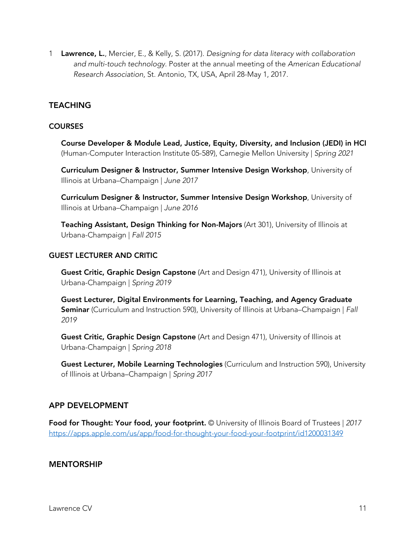1 Lawrence, L., Mercier, E., & Kelly, S. (2017). *Designing for data literacy with collaboration and multi-touch technology.* Poster at the annual meeting of the *American Educational Research Association*, St. Antonio, TX, USA, April 28-May 1, 2017.

## **TEACHING**

### **COURSES**

Course Developer & Module Lead, Justice, Equity, Diversity, and Inclusion (JEDI) in HCI (Human-Computer Interaction Institute 05-589), Carnegie Mellon University | *Spring 2021*

Curriculum Designer & Instructor, Summer Intensive Design Workshop, University of Illinois at Urbana–Champaign | *June 2017* 

Curriculum Designer & Instructor, Summer Intensive Design Workshop, University of Illinois at Urbana–Champaign | *June 2016*

Teaching Assistant, Design Thinking for Non-Majors (Art 301), University of Illinois at Urbana-Champaign | *Fall 2015* 

#### GUEST LECTURER AND CRITIC

Guest Critic, Graphic Design Capstone (Art and Design 471), University of Illinois at Urbana-Champaign | *Spring 2019* 

Guest Lecturer, Digital Environments for Learning, Teaching, and Agency Graduate Seminar (Curriculum and Instruction 590), University of Illinois at Urbana–Champaign | *Fall 2019*

Guest Critic, Graphic Design Capstone (Art and Design 471), University of Illinois at Urbana-Champaign | *Spring 2018*

Guest Lecturer, Mobile Learning Technologies (Curriculum and Instruction 590), University of Illinois at Urbana–Champaign | *Spring 2017*

## APP DEVELOPMENT

Food for Thought: Your food, your footprint. © University of Illinois Board of Trustees | *2017* https://apps.apple.com/us/app/food-for-thought-your-food-your-footprint/id1200031349

### MENTORSHIP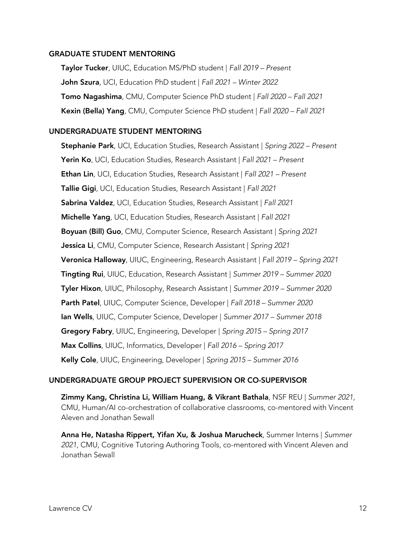#### GRADUATE STUDENT MENTORING

Taylor Tucker, UIUC, Education MS/PhD student | *Fall 2019 – Present* John Szura, UCI, Education PhD student | *Fall 2021 – Winter 2022* Tomo Nagashima, CMU, Computer Science PhD student | *Fall 2020 – Fall 2021*  Kexin (Bella) Yang, CMU, Computer Science PhD student | *Fall 2020 – Fall 2021*

### UNDERGRADUATE STUDENT MENTORING

Stephanie Park, UCI, Education Studies, Research Assistant | *Spring 2022 – Present* Yerin Ko, UCI, Education Studies, Research Assistant | *Fall 2021 – Present* Ethan Lin, UCI, Education Studies, Research Assistant | *Fall 2021 – Present* Tallie Gigi, UCI, Education Studies, Research Assistant | *Fall 2021*  Sabrina Valdez, UCI, Education Studies, Research Assistant | *Fall 2021*  Michelle Yang, UCI, Education Studies, Research Assistant | *Fall 2021*  Boyuan (Bill) Guo, CMU, Computer Science, Research Assistant | *Spring 2021* Jessica Li, CMU, Computer Science, Research Assistant | *Spring 2021* Veronica Halloway, UIUC, Engineering, Research Assistant | *Fall 2019 – Spring 2021* Tingting Rui, UIUC, Education, Research Assistant | *Summer 2019 – Summer 2020*  Tyler Hixon, UIUC, Philosophy, Research Assistant | *Summer 2019 – Summer 2020* Parth Patel, UIUC, Computer Science, Developer | *Fall 2018 – Summer 2020*  Ian Wells, UIUC, Computer Science, Developer | *Summer 2017 – Summer 2018* Gregory Fabry, UIUC, Engineering, Developer | *Spring 2015 – Spring 2017*  Max Collins, UIUC, Informatics, Developer | *Fall 2016 – Spring 2017* Kelly Cole, UIUC, Engineering, Developer | *Spring 2015 – Summer 2016* 

### UNDERGRADUATE GROUP PROJECT SUPERVISION OR CO-SUPERVISOR

Zimmy Kang, Christina Li, William Huang, & Vikrant Bathala, NSF REU | *Summer 2021,* CMU, Human/AI co-orchestration of collaborative classrooms, co-mentored with Vincent Aleven and Jonathan Sewall

Anna He, Natasha Rippert, Yifan Xu, & Joshua Marucheck, Summer Interns | *Summer 2021,* CMU, Cognitive Tutoring Authoring Tools, co-mentored with Vincent Aleven and Jonathan Sewall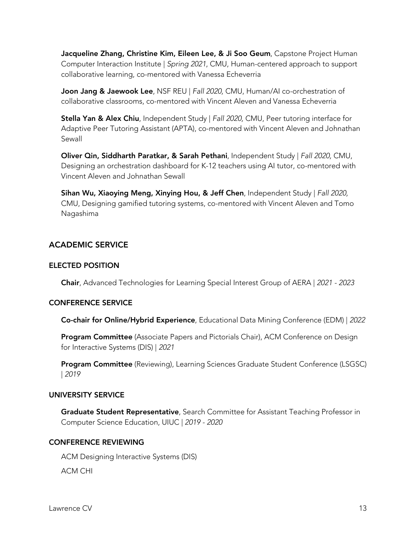Jacqueline Zhang, Christine Kim, Eileen Lee, & Ji Soo Geum, Capstone Project Human Computer Interaction Institute | *Spring 2021*, CMU, Human-centered approach to support collaborative learning, co-mentored with Vanessa Echeverria

Joon Jang & Jaewook Lee, NSF REU | *Fall 2020,* CMU, Human/AI co-orchestration of collaborative classrooms, co-mentored with Vincent Aleven and Vanessa Echeverria

Stella Yan & Alex Chiu, Independent Study | *Fall 2020,* CMU, Peer tutoring interface for Adaptive Peer Tutoring Assistant (APTA), co-mentored with Vincent Aleven and Johnathan Sewall

Oliver Qin, Siddharth Paratkar, & Sarah Pethani, Independent Study | *Fall 2020,* CMU, Designing an orchestration dashboard for K-12 teachers using AI tutor, co-mentored with Vincent Aleven and Johnathan Sewall

Sihan Wu, Xiaoying Meng, Xinying Hou, & Jeff Chen, Independent Study | *Fall 2020,* CMU, Designing gamified tutoring systems, co-mentored with Vincent Aleven and Tomo Nagashima

# ACADEMIC SERVICE

## ELECTED POSITION

Chair, Advanced Technologies for Learning Special Interest Group of AERA | *2021 - 2023* 

## CONFERENCE SERVICE

Co-chair for Online/Hybrid Experience, Educational Data Mining Conference (EDM) | *2022*

Program Committee (Associate Papers and Pictorials Chair), ACM Conference on Design for Interactive Systems (DIS) | *2021*

**Program Committee** (Reviewing), Learning Sciences Graduate Student Conference (LSGSC) | *2019*

## UNIVERSITY SERVICE

Graduate Student Representative, Search Committee for Assistant Teaching Professor in Computer Science Education, UIUC | *2019 - 2020* 

# CONFERENCE REVIEWING

ACM Designing Interactive Systems (DIS)

ACM CHI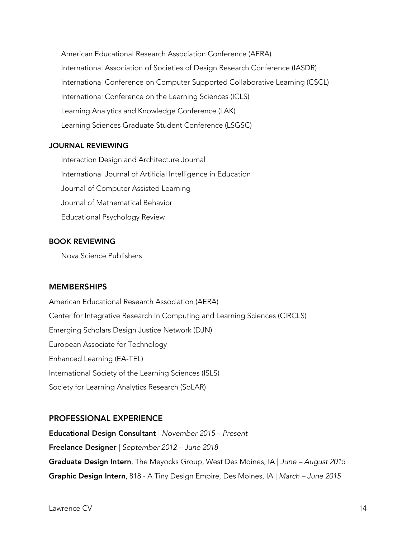American Educational Research Association Conference (AERA) International Association of Societies of Design Research Conference (IASDR) International Conference on Computer Supported Collaborative Learning (CSCL) International Conference on the Learning Sciences (ICLS) Learning Analytics and Knowledge Conference (LAK) Learning Sciences Graduate Student Conference (LSGSC)

### JOURNAL REVIEWING

Interaction Design and Architecture Journal International Journal of Artificial Intelligence in Education Journal of Computer Assisted Learning Journal of Mathematical Behavior Educational Psychology Review

#### BOOK REVIEWING

Nova Science Publishers

### **MEMBERSHIPS**

American Educational Research Association (AERA) Center for Integrative Research in Computing and Learning Sciences (CIRCLS) Emerging Scholars Design Justice Network (DJN) European Associate for Technology Enhanced Learning (EA-TEL) International Society of the Learning Sciences (ISLS) Society for Learning Analytics Research (SoLAR)

### PROFESSIONAL EXPERIENCE

Educational Design Consultant | *November 2015 – Present*  Freelance Designer | *September 2012 – June 2018*  Graduate Design Intern, The Meyocks Group, West Des Moines, IA | *June – August 2015*  Graphic Design Intern, 818 - A Tiny Design Empire, Des Moines, IA | *March – June 2015*